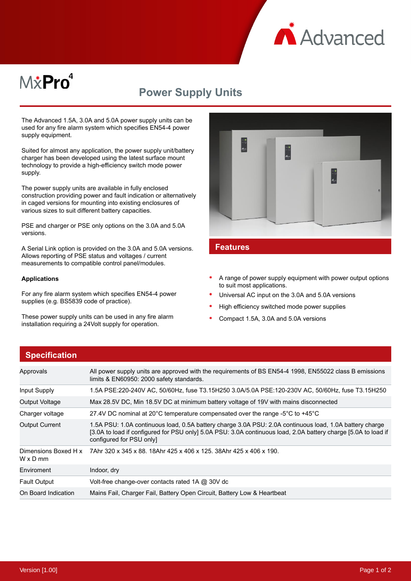

# M&Pro<sup>4</sup>

## **Power Supply Units**

The Advanced 1.5A, 3.0A and 5.0A power supply units can be used for any fire alarm system which specifies EN54-4 power supply equipment.

Suited for almost any application, the power supply unit/battery charger has been developed using the latest surface mount technology to provide a high-efficiency switch mode power supply.

The power supply units are available in fully enclosed construction providing power and fault indication or alternatively in caged versions for mounting into existing enclosures of various sizes to suit different battery capacities.

PSE and charger or PSE only options on the 3.0A and 5.0A versions.

A Serial Link option is provided on the 3.0A and 5.0A versions. Allows reporting of PSE status and voltages / current measurements to compatible control panel/modules.

#### **Applications**

For any fire alarm system which specifies EN54-4 power supplies (e.g. BS5839 code of practice).

These power supply units can be used in any fire alarm installation requiring a 24Volt supply for operation.



#### **Features**

- A range of power supply equipment with power output options to suit most applications.
- Universal AC input on the 3.0A and 5.0A versions
- High efficiency switched mode power supplies
- Compact 1.5A, 3.0A and 5.0A versions

#### **Specification**

| Approvals                        | All power supply units are approved with the requirements of BS EN54-4 1998, EN55022 class B emissions<br>limits & EN60950: 2000 safety standards.                                                                                                    |  |
|----------------------------------|-------------------------------------------------------------------------------------------------------------------------------------------------------------------------------------------------------------------------------------------------------|--|
| Input Supply                     | 1.5A PSE:220-240V AC, 50/60Hz, fuse T3.15H250 3.0A/5.0A PSE:120-230V AC, 50/60Hz, fuse T3.15H250                                                                                                                                                      |  |
| Output Voltage                   | Max 28.5V DC, Min 18.5V DC at minimum battery voltage of 19V with mains disconnected                                                                                                                                                                  |  |
| Charger voltage                  | 27.4V DC nominal at 20 $^{\circ}$ C temperature compensated over the range -5 $^{\circ}$ C to +45 $^{\circ}$ C                                                                                                                                        |  |
| <b>Output Current</b>            | 1.5A PSU: 1.0A continuous load, 0.5A battery charge 3.0A PSU: 2.0A continuous load, 1.0A battery charge<br>[3.0A to load if configured for PSU only] 5.0A PSU: 3.0A continuous load, 2.0A battery charge [5.0A to load if<br>configured for PSU only] |  |
| Dimensions Boxed H x<br>W x D mm | 7Ahr 320 x 345 x 88, 18Ahr 425 x 406 x 125, 38Ahr 425 x 406 x 190.                                                                                                                                                                                    |  |
| Enviroment                       | Indoor, dry                                                                                                                                                                                                                                           |  |
| <b>Fault Output</b>              | Volt-free change-over contacts rated 1A @ 30V dc                                                                                                                                                                                                      |  |
| On Board Indication              | Mains Fail, Charger Fail, Battery Open Circuit, Battery Low & Heartbeat                                                                                                                                                                               |  |